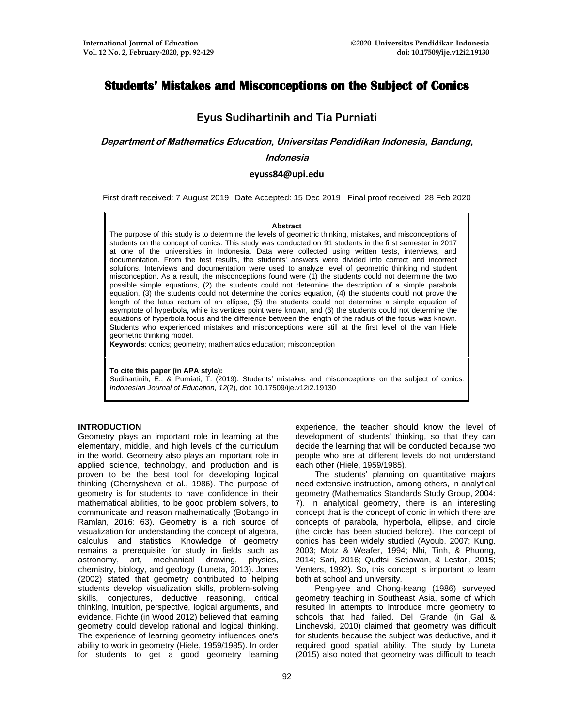# **Students' Mistakes and Misconceptions on the Subject of Conics**

# **Eyus Sudihartinih and Tia Purniati**

**Department of Mathematics Education, Universitas Pendidikan Indonesia, Bandung,** 

# **Indonesia**

## **eyuss84@upi.edu**

First draft received: 7 August 2019 Date Accepted: 15 Dec 2019 Final proof received: 28 Feb 2020

#### **Abstract**

The purpose of this study is to determine the levels of geometric thinking, mistakes, and misconceptions of students on the concept of conics. This study was conducted on 91 students in the first semester in 2017 at one of the universities in Indonesia. Data were collected using written tests, interviews, and documentation. From the test results, the students' answers were divided into correct and incorrect solutions. Interviews and documentation were used to analyze level of geometric thinking nd student misconception. As a result, the misconceptions found were (1) the students could not determine the two possible simple equations, (2) the students could not determine the description of a simple parabola equation, (3) the students could not determine the conics equation, (4) the students could not prove the length of the latus rectum of an ellipse, (5) the students could not determine a simple equation of asymptote of hyperbola, while its vertices point were known, and (6) the students could not determine the equations of hyperbola focus and the difference between the length of the radius of the focus was known. Students who experienced mistakes and misconceptions were still at the first level of the van Hiele geometric thinking model.

**Keywords**: conics; geometry; mathematics education; misconception

**To cite this paper (in APA style):**

Sudihartinih, E., & Purniati, T. (2019). Students' mistakes and misconceptions on the subject of conics. *Indonesian Journal of Education, 12*(2), doi: 10.17509/ije.v12i2.19130

## **INTRODUCTION**

Geometry plays an important role in learning at the elementary, middle, and high levels of the curriculum in the world. Geometry also plays an important role in applied science, technology, and production and is proven to be the best tool for developing logical thinking (Chernysheva et al., 1986). The purpose of geometry is for students to have confidence in their mathematical abilities, to be good problem solvers, to communicate and reason mathematically (Bobango in Ramlan, 2016: 63). Geometry is a rich source of visualization for understanding the concept of algebra, calculus, and statistics. Knowledge of geometry remains a prerequisite for study in fields such as astronomy, art, mechanical drawing, physics, chemistry, biology, and geology (Luneta, 2013). Jones (2002) stated that geometry contributed to helping students develop visualization skills, problem-solving skills, conjectures, deductive reasoning, critical thinking, intuition, perspective, logical arguments, and evidence. Fichte (in Wood 2012) believed that learning geometry could develop rational and logical thinking. The experience of learning geometry influences one's ability to work in geometry (Hiele, 1959/1985). In order for students to get a good geometry learning

both at school and university. Peng-yee and Chong-keang (1986) surveyed

each other (Hiele, 1959/1985).

geometry teaching in Southeast Asia, some of which resulted in attempts to introduce more geometry to schools that had failed. Del Grande (in Gal & Linchevski, 2010) claimed that geometry was difficult for students because the subject was deductive, and it required good spatial ability. The study by Luneta (2015) also noted that geometry was difficult to teach

experience, the teacher should know the level of development of students' thinking, so that they can decide the learning that will be conducted because two people who are at different levels do not understand

The students' planning on quantitative majors need extensive instruction, among others, in analytical geometry (Mathematics Standards Study Group, 2004: 7). In analytical geometry, there is an interesting concept that is the concept of conic in which there are concepts of parabola, hyperbola, ellipse, and circle (the circle has been studied before). The concept of conics has been widely studied (Ayoub, 2007; Kung, 2003; Motz & Weafer, 1994; Nhi, Tinh, & Phuong, 2014; Sari, 2016; Qudtsi, Setiawan, & Lestari, 2015; Venters, 1992). So, this concept is important to learn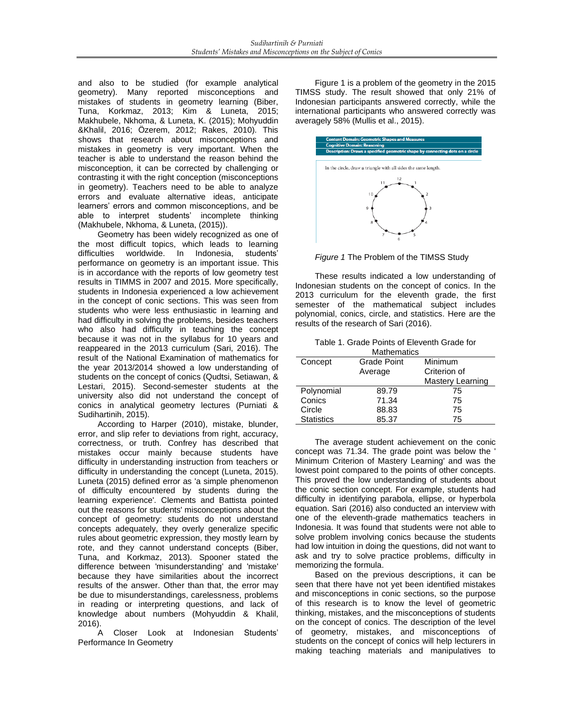and also to be studied (for example analytical geometry). Many reported misconceptions and mistakes of students in geometry learning (Biber, Tuna, Korkmaz, 2013; Kim & Luneta, 2015; Makhubele, Nkhoma, & Luneta, K. (2015); Mohyuddin &Khalil, 2016; Özerem, 2012; Rakes, 2010). This shows that research about misconceptions and mistakes in geometry is very important. When the teacher is able to understand the reason behind the misconception, it can be corrected by challenging or contrasting it with the right conception (misconceptions in geometry). Teachers need to be able to analyze errors and evaluate alternative ideas, anticipate learners' errors and common misconceptions, and be able to interpret students' incomplete thinking (Makhubele, Nkhoma, & Luneta, (2015)).

Geometry has been widely recognized as one of the most difficult topics, which leads to learning difficulties worldwide. In Indonesia, students' performance on geometry is an important issue. This is in accordance with the reports of low geometry test results in TIMMS in 2007 and 2015. More specifically, students in Indonesia experienced a low achievement in the concept of conic sections. This was seen from students who were less enthusiastic in learning and had difficulty in solving the problems, besides teachers who also had difficulty in teaching the concept because it was not in the syllabus for 10 years and reappeared in the 2013 curriculum (Sari, 2016). The result of the National Examination of mathematics for the year 2013/2014 showed a low understanding of students on the concept of conics (Qudtsi, Setiawan, & Lestari, 2015). Second-semester students at the university also did not understand the concept of conics in analytical geometry lectures (Purniati & Sudihartinih, 2015).

According to Harper (2010), mistake, blunder, error, and slip refer to deviations from right, accuracy, correctness, or truth. Confrey has described that mistakes occur mainly because students have difficulty in understanding instruction from teachers or difficulty in understanding the concept (Luneta, 2015). Luneta (2015) defined error as 'a simple phenomenon of difficulty encountered by students during the learning experience'. Clements and Battista pointed out the reasons for students' misconceptions about the concept of geometry: students do not understand concepts adequately, they overly generalize specific rules about geometric expression, they mostly learn by rote, and they cannot understand concepts (Biber, Tuna, and Korkmaz, 2013). Spooner stated the difference between 'misunderstanding' and 'mistake' because they have similarities about the incorrect results of the answer. Other than that, the error may be due to misunderstandings, carelessness, problems in reading or interpreting questions, and lack of knowledge about numbers (Mohyuddin & Khalil, 2016).

A Closer Look at Indonesian Students' Performance In Geometry

Figure 1 is a problem of the geometry in the 2015 TIMSS study. The result showed that only 21% of Indonesian participants answered correctly, while the international participants who answered correctly was averagely 58% (Mullis et al., 2015).



*Figure 1* The Problem of the TIMSS Study

These results indicated a low understanding of Indonesian students on the concept of conics. In the 2013 curriculum for the eleventh grade, the first semester of the mathematical subject includes polynomial, conics, circle, and statistics. Here are the results of the research of Sari (2016).

Table 1. Grade Points of Eleventh Grade for

| <b>Grade Point</b><br>Minimum<br>Concept<br>Criterion of<br>Average<br>Polynomial<br>89.79<br>75<br>Conics<br>71.34<br>75<br>Circle<br>88.83<br>75 | <b>Mathematics</b> |                  |
|----------------------------------------------------------------------------------------------------------------------------------------------------|--------------------|------------------|
|                                                                                                                                                    |                    |                  |
|                                                                                                                                                    |                    |                  |
|                                                                                                                                                    |                    | Mastery Learning |
|                                                                                                                                                    |                    |                  |
|                                                                                                                                                    |                    |                  |
|                                                                                                                                                    |                    |                  |
| <b>Statistics</b><br>75<br>85.37                                                                                                                   |                    |                  |

The average student achievement on the conic concept was 71.34. The grade point was below the ' Minimum Criterion of Mastery Learning' and was the lowest point compared to the points of other concepts. This proved the low understanding of students about the conic section concept. For example, students had difficulty in identifying parabola, ellipse, or hyperbola equation. Sari (2016) also conducted an interview with one of the eleventh-grade mathematics teachers in Indonesia. It was found that students were not able to solve problem involving conics because the students had low intuition in doing the questions, did not want to ask and try to solve practice problems, difficulty in memorizing the formula.

Based on the previous descriptions, it can be seen that there have not yet been identified mistakes and misconceptions in conic sections, so the purpose of this research is to know the level of geometric thinking, mistakes, and the misconceptions of students on the concept of conics. The description of the level of geometry, mistakes, and misconceptions of students on the concept of conics will help lecturers in making teaching materials and manipulatives to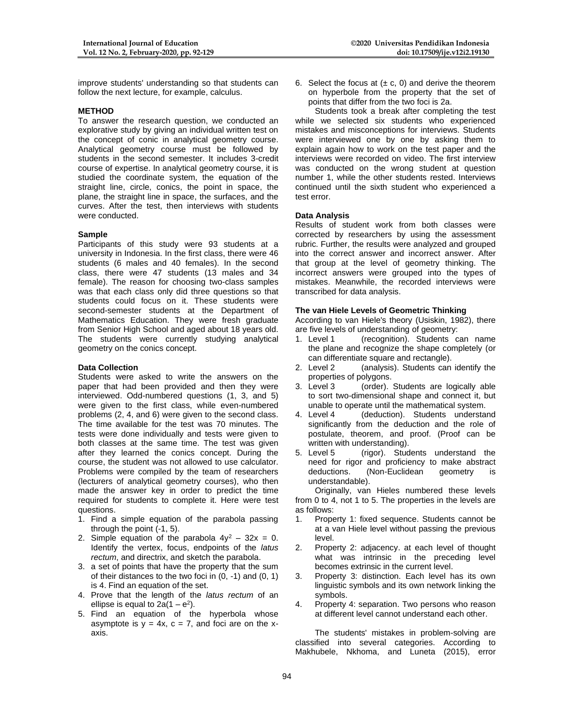improve students' understanding so that students can follow the next lecture, for example, calculus.

#### **METHOD**

To answer the research question, we conducted an explorative study by giving an individual written test on the concept of conic in analytical geometry course. Analytical geometry course must be followed by students in the second semester. It includes 3-credit course of expertise. In analytical geometry course, it is studied the coordinate system, the equation of the straight line, circle, conics, the point in space, the plane, the straight line in space, the surfaces, and the curves. After the test, then interviews with students were conducted.

### **Sample**

Participants of this study were 93 students at a university in Indonesia. In the first class, there were 46 students (6 males and 40 females). In the second class, there were 47 students (13 males and 34 female). The reason for choosing two-class samples was that each class only did three questions so that students could focus on it. These students were second-semester students at the Department of Mathematics Education. They were fresh graduate from Senior High School and aged about 18 years old. The students were currently studying analytical geometry on the conics concept.

#### **Data Collection**

Students were asked to write the answers on the paper that had been provided and then they were interviewed. Odd-numbered questions (1, 3, and 5) were given to the first class, while even-numbered problems (2, 4, and 6) were given to the second class. The time available for the test was 70 minutes. The tests were done individually and tests were given to both classes at the same time. The test was given after they learned the conics concept. During the course, the student was not allowed to use calculator. Problems were compiled by the team of researchers (lecturers of analytical geometry courses), who then made the answer key in order to predict the time required for students to complete it. Here were test questions.

- 1. Find a simple equation of the parabola passing through the point (-1, 5).
- 2. Simple equation of the parabola  $4y^2 32x = 0$ . Identify the vertex, focus, endpoints of the *latus rectum*, and directrix, and sketch the parabola.
- 3. a set of points that have the property that the sum of their distances to the two foci in (0, -1) and (0, 1) is 4. Find an equation of the set.
- 4. Prove that the length of the *latus rectum* of an ellipse is equal to  $2a(1 - e^2)$ .
- 5. Find an equation of the hyperbola whose asymptote is  $y = 4x$ ,  $c = 7$ , and foci are on the xaxis.

6. Select the focus at  $(\pm c, 0)$  and derive the theorem on hyperbole from the property that the set of points that differ from the two foci is 2a.

Students took a break after completing the test while we selected six students who experienced mistakes and misconceptions for interviews. Students were interviewed one by one by asking them to explain again how to work on the test paper and the interviews were recorded on video. The first interview was conducted on the wrong student at question number 1, while the other students rested. Interviews continued until the sixth student who experienced a test error.

# **Data Analysis**

Results of student work from both classes were corrected by researchers by using the assessment rubric. Further, the results were analyzed and grouped into the correct answer and incorrect answer. After that group at the level of geometry thinking. The incorrect answers were grouped into the types of mistakes. Meanwhile, the recorded interviews were transcribed for data analysis.

#### **The van Hiele Levels of Geometric Thinking**

According to van Hiele's theory (Usiskin, 1982), there are five levels of understanding of geometry:

- 1. Level 1 (recognition). Students can name the plane and recognize the shape completely (or can differentiate square and rectangle).<br>2. Level 2 (analysis). Students can
- (analysis). Students can identify the properties of polygons.
- 3. Level 3 (order). Students are logically able to sort two-dimensional shape and connect it, but unable to operate until the mathematical system.
- 4. Level 4 (deduction). Students understand significantly from the deduction and the role of postulate, theorem, and proof. (Proof can be written with understanding).
- 5. Level 5 (rigor). Students understand the need for rigor and proficiency to make abstract deductions. (Non-Euclidean geometry understandable).

Originally, van Hieles numbered these levels from 0 to 4, not 1 to 5. The properties in the levels are as follows:

- 1. Property 1: fixed sequence. Students cannot be at a van Hiele level without passing the previous level.
- 2. Property 2: adjacency. at each level of thought what was intrinsic in the preceding level becomes extrinsic in the current level.
- 3. Property 3: distinction. Each level has its own linguistic symbols and its own network linking the symbols.
- 4. Property 4: separation. Two persons who reason at different level cannot understand each other.

The students' mistakes in problem-solving are classified into several categories. According to Makhubele, Nkhoma, and Luneta (2015), error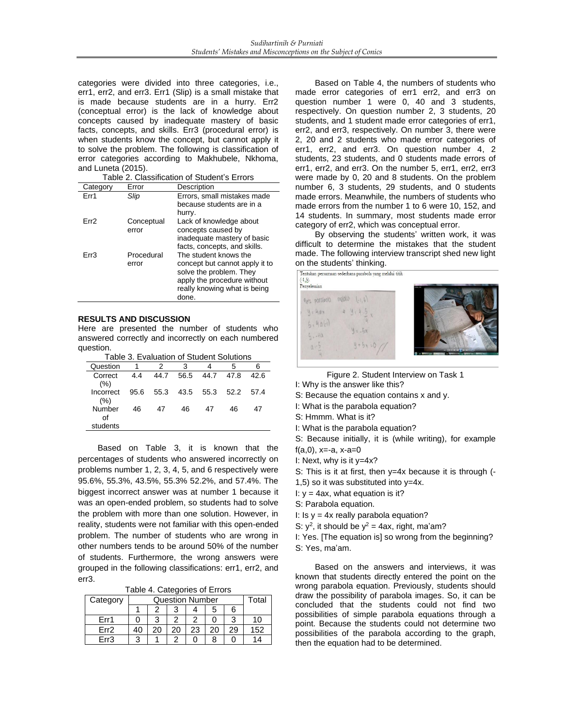categories were divided into three categories, i.e., err1, err2, and err3. Err1 (Slip) is a small mistake that is made because students are in a hurry. Err2 (conceptual error) is the lack of knowledge about concepts caused by inadequate mastery of basic facts, concepts, and skills. Err3 (procedural error) is when students know the concept, but cannot apply it to solve the problem. The following is classification of error categories according to Makhubele, Nkhoma, and Luneta (2015).

Table 2. Classification of Student's Errors

| Category | Error      | Description                    |
|----------|------------|--------------------------------|
| Frr1     | Slip       | Errors, small mistakes made    |
|          |            | because students are in a      |
|          |            | hurry.                         |
| Frr2     | Conceptual | Lack of knowledge about        |
|          | error      | concepts caused by             |
|          |            | inadequate mastery of basic    |
|          |            | facts, concepts, and skills.   |
| Err3     | Procedural | The student knows the          |
|          | error      | concept but cannot apply it to |
|          |            | solve the problem. They        |
|          |            | apply the procedure without    |
|          |            | really knowing what is being   |
|          |            | done.                          |

### **RESULTS AND DISCUSSION**

Here are presented the number of students who answered correctly and incorrectly on each numbered question.

| Table 3. Evaluation of Student Solutions |      |      |      |      |      |      |
|------------------------------------------|------|------|------|------|------|------|
| Question                                 |      |      | 3    |      | 5    | ิค   |
| Correct<br>(% )                          | 4.4  | 44.7 | 56.5 | 44.7 | 47 R | 42 6 |
| Incorrect<br>(%)                         | 95.6 | 55.3 | 43.5 | 55.3 | 52.2 | 57.4 |
| Number<br>Ωf<br>students                 | 46   | 47   | 46   | 47   | 46   | Δ7   |

Based on Table 3, it is known that the percentages of students who answered incorrectly on problems number 1, 2, 3, 4, 5, and 6 respectively were 95.6%, 55.3%, 43.5%, 55.3% 52.2%, and 57.4%. The biggest incorrect answer was at number 1 because it was an open-ended problem, so students had to solve the problem with more than one solution. However, in reality, students were not familiar with this open-ended problem. The number of students who are wrong in other numbers tends to be around 50% of the number of students. Furthermore, the wrong answers were grouped in the following classifications: err1, err2, and err3.

Table 4. Categories of Errors

| Category |    | <b>Question Number</b> |    |    |    | Total |     |
|----------|----|------------------------|----|----|----|-------|-----|
|          |    |                        |    |    |    |       |     |
| Frr1     |    | ◠                      |    |    |    |       | 10  |
| Frr2     | 40 | 20                     | 20 | 23 | 20 | 29    | 152 |
| -rr3     |    |                        |    |    |    |       |     |

Based on Table 4, the numbers of students who made error categories of err1 err2, and err3 on question number 1 were 0, 40 and 3 students, respectively. On question number 2, 3 students, 20 students, and 1 student made error categories of err1, err2, and err3, respectively. On number 3, there were 2, 20 and 2 students who made error categories of err1, err2, and err3. On question number 4, 2 students, 23 students, and 0 students made errors of err1, err2, and err3. On the number 5, err1, err2, err3 were made by 0, 20 and 8 students. On the problem number 6, 3 students, 29 students, and 0 students made errors. Meanwhile, the numbers of students who made errors from the number 1 to 6 were 10, 152, and 14 students. In summary, most students made error category of err2, which was conceptual error.

By observing the students' written work, it was difficult to determine the mistakes that the student made. The following interview transcript shed new light on the students' thinking.



Figure 2. Student Interview on Task 1

I: Why is the answer like this?

S: Because the equation contains x and y.

I: What is the parabola equation?

S: Hmmm. What is it?

I: What is the parabola equation?

S: Because initially, it is (while writing), for example  $f(a,0)$ , x=-a, x-a=0

- I: Next, why is it y=4x?
- S: This is it at first, then y=4x because it is through (-
- 1,5) so it was substituted into  $y=4x$ .
- I:  $y = 4ax$ , what equation is it?

S: Parabola equation.

I: Is  $y = 4x$  really parabola equation?

S:  $y^2$ , it should be  $y^2 = 4ax$ , right, ma'am?

I: Yes. [The equation is] so wrong from the beginning? S: Yes, ma'am.

Based on the answers and interviews, it was known that students directly entered the point on the wrong parabola equation. Previously, students should draw the possibility of parabola images. So, it can be concluded that the students could not find two possibilities of simple parabola equations through a point. Because the students could not determine two possibilities of the parabola according to the graph, then the equation had to be determined.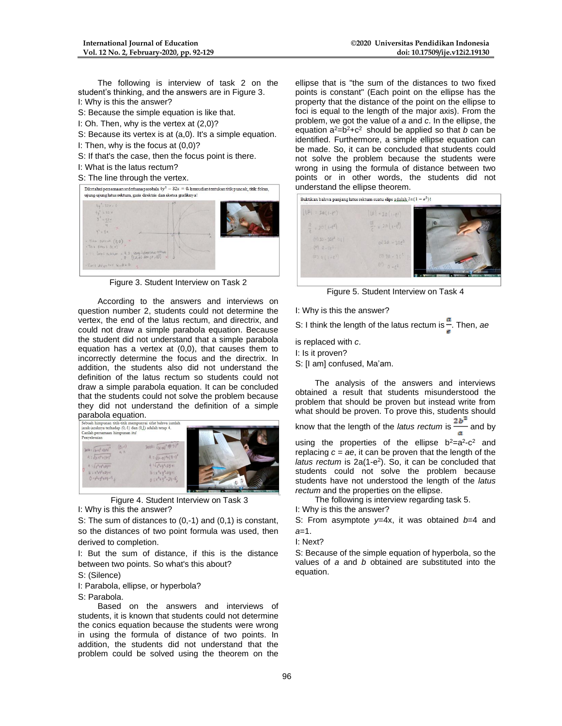The following is interview of task 2 on the student's thinking, and the answers are in Figure 3. I: Why is this the answer?

- S: Because the simple equation is like that.
- I: Oh. Then, why is the vertex at (2,0)?
- S: Because its vertex is at (a,0). It's a simple equation.
- I: Then, why is the focus at (0,0)?
- S: If that's the case, then the focus point is there.
- I: What is the latus rectum?
- 



Figure 3. Student Interview on Task 2

According to the answers and interviews on question number 2, students could not determine the vertex, the end of the latus rectum, and directrix, and could not draw a simple parabola equation. Because the student did not understand that a simple parabola equation has a vertex at (0,0), that causes them to incorrectly determine the focus and the directrix. In addition, the students also did not understand the definition of the latus rectum so students could not draw a simple parabola equation. It can be concluded that the students could not solve the problem because they did not understand the definition of a simple



Figure 4. Student Interview on Task 3 I: Why is this the answer?

S: The sum of distances to (0,-1) and (0,1) is constant, so the distances of two point formula was used, then derived to completion.

I: But the sum of distance, if this is the distance between two points. So what's this about?

S: (Silence)

I: Parabola, ellipse, or hyperbola?

S: Parabola.

Based on the answers and interviews of students, it is known that students could not determine the conics equation because the students were wrong in using the formula of distance of two points. In addition, the students did not understand that the problem could be solved using the theorem on the

ellipse that is "the sum of the distances to two fixed points is constant" (Each point on the ellipse has the property that the distance of the point on the ellipse to foci is equal to the length of the major axis). From the problem, we got the value of *a* and *c*. In the ellipse, the equation  $a^2=b^2+c^2$  should be applied so that *b* can be identified. Furthermore, a simple ellipse equation can be made. So, it can be concluded that students could not solve the problem because the students were wrong in using the formula of distance between two points or in other words, the students did not understand the ellipse theorem.



Figure 5. Student Interview on Task 4

I: Why is this the answer?

S: I think the length of the latus rectum is  $\frac{a}{n}$ . Then, *ae* 

is replaced with *c*.

I: Is it proven?

S: [I am] confused, Ma'am.

The analysis of the answers and interviews obtained a result that students misunderstood the problem that should be proven but instead write from what should be proven. To prove this, students should

know that the length of the *latus rectum* is  $\frac{2b^2}{a}$  and by using the properties of the ellipse  $b^2=a^2-c^2$  and replacing *c* = *ae*, it can be proven that the length of the *latus rectum* is 2a(1-e 2 ). So, it can be concluded that students could not solve the problem because students have not understood the length of the *latus* 

*rectum* and the properties on the ellipse. The following is interview regarding task 5.

I: Why is this the answer?

S: From asymptote *y*=4x, it was obtained *b*=4 and *a*=1.

I: Next?

S: Because of the simple equation of hyperbola, so the values of *a* and *b* obtained are substituted into the equation.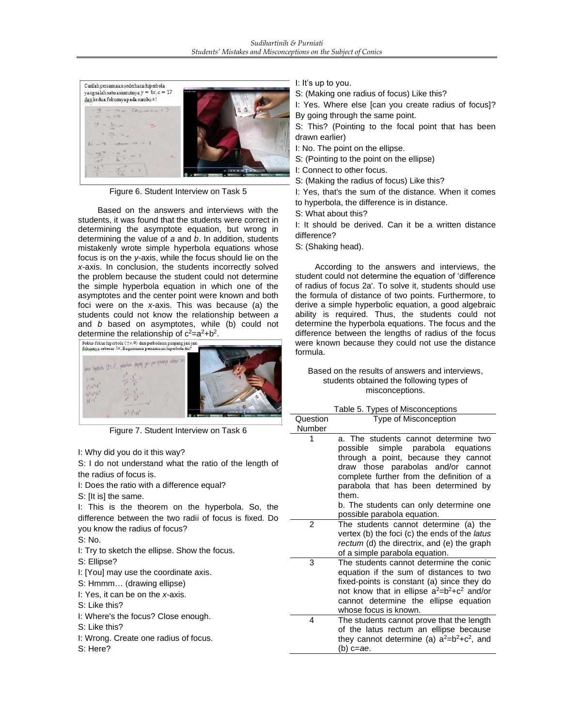

Figure 6. Student Interview on Task 5

Based on the answers and interviews with the students, it was found that the students were correct in determining the asymptote equation, but wrong in determining the value of *a* and *b*. In addition, students mistakenly wrote simple hyperbola equations whose focus is on the *y*-axis, while the focus should lie on the *x*-axis. In conclusion, the students incorrectly solved the problem because the student could not determine the simple hyperbola equation in which one of the asymptotes and the center point were known and both foci were on the *x*-axis. This was because (a) the students could not know the relationship between *a* and *b* based on asymptotes, while (b) could not determine the relationship of  $c^2 = a^2 + b^2$ .



Figure 7. Student Interview on Task 6

I: Why did you do it this way?

S: I do not understand what the ratio of the length of the radius of focus is.

I: Does the ratio with a difference equal?

S: [It is] the same.

I: This is the theorem on the hyperbola. So, the difference between the two radii of focus is fixed. Do you know the radius of focus?

S: No.

- I: Try to sketch the ellipse. Show the focus.
- S: Ellipse?

I: [You] may use the coordinate axis.

S: Hmmm… (drawing ellipse)

- I: Yes, it can be on the *x*-axis.
- S: Like this?
- I: Where's the focus? Close enough.
- S: Like this?
- I: Wrong. Create one radius of focus.
- S: Here?
- I: It's up to you.
- S: (Making one radius of focus) Like this?
- I: Yes. Where else [can you create radius of focus]? By going through the same point.

S: This? (Pointing to the focal point that has been drawn earlier)

- I: No. The point on the ellipse.
- S: (Pointing to the point on the ellipse)
- I: Connect to other focus.
- S: (Making the radius of focus) Like this?

I: Yes, that's the sum of the distance. When it comes to hyperbola, the difference is in distance.

S: What about this?

I: It should be derived. Can it be a written distance difference?

S: (Shaking head).

According to the answers and interviews, the student could not determine the equation of 'difference of radius of focus 2a'. To solve it, students should use the formula of distance of two points. Furthermore, to derive a simple hyperbolic equation, a good algebraic ability is required. Thus, the students could not determine the hyperbola equations. The focus and the difference between the lengths of radius of the focus were known because they could not use the distance formula.

#### Based on the results of answers and interviews, students obtained the following types of misconceptions.

|                | Table 5. Types of Misconceptions                                                                                                                                                                                                                                                                                                   |  |  |  |
|----------------|------------------------------------------------------------------------------------------------------------------------------------------------------------------------------------------------------------------------------------------------------------------------------------------------------------------------------------|--|--|--|
| Question       | <b>Type of Misconception</b>                                                                                                                                                                                                                                                                                                       |  |  |  |
| Number         |                                                                                                                                                                                                                                                                                                                                    |  |  |  |
| 1              | a. The students cannot determine two<br>possible simple parabola equations<br>through a point, because they cannot<br>those parabolas and/or cannot<br>draw<br>complete further from the definition of a<br>parabola that has been determined by<br>them.<br>b. The students can only determine one<br>possible parabola equation. |  |  |  |
| $\mathfrak{p}$ | The students cannot determine (a) the                                                                                                                                                                                                                                                                                              |  |  |  |
|                | vertex (b) the foci (c) the ends of the latus                                                                                                                                                                                                                                                                                      |  |  |  |
|                | rectum (d) the directrix, and (e) the graph                                                                                                                                                                                                                                                                                        |  |  |  |
|                | of a simple parabola equation.                                                                                                                                                                                                                                                                                                     |  |  |  |
| 3              | The students cannot determine the conic<br>equation if the sum of distances to two<br>fixed-points is constant (a) since they do<br>not know that in ellipse a <sup>2</sup> =b <sup>2</sup> +c <sup>2</sup> and/or<br>cannot determine the ellipse equation<br>whose focus is known.                                               |  |  |  |
| 4              | The students cannot prove that the length<br>of the latus rectum an ellipse because<br>they cannot determine (a) $a^2=b^2+c^2$ , and<br>(b) c=ae.                                                                                                                                                                                  |  |  |  |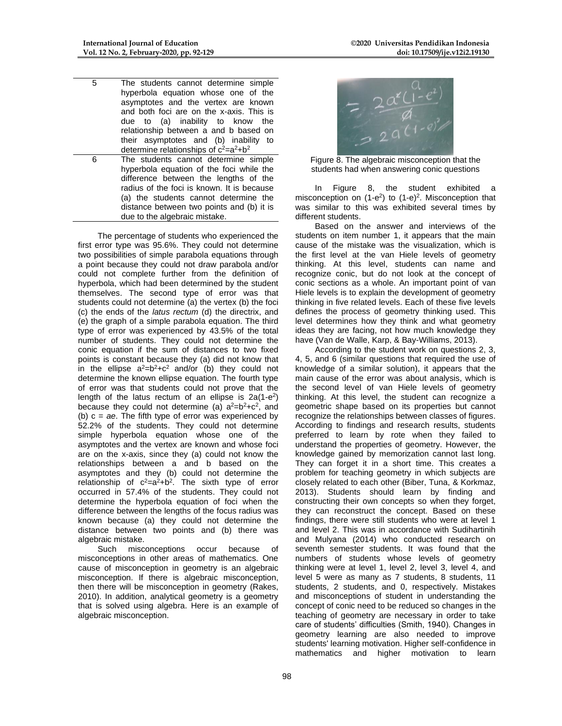- 5 The students cannot determine simple hyperbola equation whose one of the asymptotes and the vertex are known and both foci are on the x-axis. This is due to (a) inability to know the relationship between a and b based on their asymptotes and (b) inability to determine relationships of  $c^2=a^2+b^2$
- 6 The students cannot determine simple hyperbola equation of the foci while the difference between the lengths of the radius of the foci is known. It is because (a) the students cannot determine the distance between two points and (b) it is due to the algebraic mistake.

The percentage of students who experienced the first error type was 95.6%. They could not determine two possibilities of simple parabola equations through a point because they could not draw parabola and/or could not complete further from the definition of hyperbola, which had been determined by the student themselves. The second type of error was that students could not determine (a) the vertex (b) the foci (c) the ends of the *latus rectum* (d) the directrix, and (e) the graph of a simple parabola equation. The third type of error was experienced by 43.5% of the total number of students. They could not determine the conic equation if the sum of distances to two fixed points is constant because they (a) did not know that in the ellipse  $a^2=b^2+c^2$  and/or (b) they could not determine the known ellipse equation. The fourth type of error was that students could not prove that the length of the latus rectum of an ellipse is  $2a(1-e^2)$ because they could not determine (a)  $a^2=b^2+c^2$ , and (b) c = *ae*. The fifth type of error was experienced by 52.2% of the students. They could not determine simple hyperbola equation whose one of the asymptotes and the vertex are known and whose foci are on the x-axis, since they (a) could not know the relationships between a and b based on the asymptotes and they (b) could not determine the relationship of  $c^2=a^2+b^2$ . The sixth type of error occurred in 57.4% of the students. They could not determine the hyperbola equation of foci when the difference between the lengths of the focus radius was known because (a) they could not determine the distance between two points and (b) there was algebraic mistake.

Such misconceptions occur because of misconceptions in other areas of mathematics. One cause of misconception in geometry is an algebraic misconception. If there is algebraic misconception, then there will be misconception in geometry (Rakes, 2010). In addition, analytical geometry is a geometry that is solved using algebra. Here is an example of algebraic misconception.



Figure 8. The algebraic misconception that the students had when answering conic questions

In Figure 8, the student exhibited a misconception on  $(1-e^2)$  to  $(1-e)^2$ . Misconception that was similar to this was exhibited several times by different students.

Based on the answer and interviews of the students on item number 1, it appears that the main cause of the mistake was the visualization, which is the first level at the van Hiele levels of geometry thinking. At this level, students can name and recognize conic, but do not look at the concept of conic sections as a whole. An important point of van Hiele levels is to explain the development of geometry thinking in five related levels. Each of these five levels defines the process of geometry thinking used. This level determines how they think and what geometry ideas they are facing, not how much knowledge they have (Van de Walle, Karp, & Bay-Williams, 2013).

According to the student work on questions 2, 3, 4, 5, and 6 (similar questions that required the use of knowledge of a similar solution), it appears that the main cause of the error was about analysis, which is the second level of van Hiele levels of geometry thinking. At this level, the student can recognize a geometric shape based on its properties but cannot recognize the relationships between classes of figures. According to findings and research results, students preferred to learn by rote when they failed to understand the properties of geometry. However, the knowledge gained by memorization cannot last long. They can forget it in a short time. This creates a problem for teaching geometry in which subjects are closely related to each other (Biber, Tuna, & Korkmaz, 2013). Students should learn by finding and constructing their own concepts so when they forget, they can reconstruct the concept. Based on these findings, there were still students who were at level 1 and level 2. This was in accordance with Sudihartinih and Mulyana (2014) who conducted research on seventh semester students. It was found that the numbers of students whose levels of geometry thinking were at level 1, level 2, level 3, level 4, and level 5 were as many as 7 students, 8 students, 11 students, 2 students, and 0, respectively. Mistakes and misconceptions of student in understanding the concept of conic need to be reduced so changes in the teaching of geometry are necessary in order to take care of students' difficulties (Smith, 1940). Changes in geometry learning are also needed to improve students' learning motivation. Higher self-confidence in mathematics and higher motivation to learn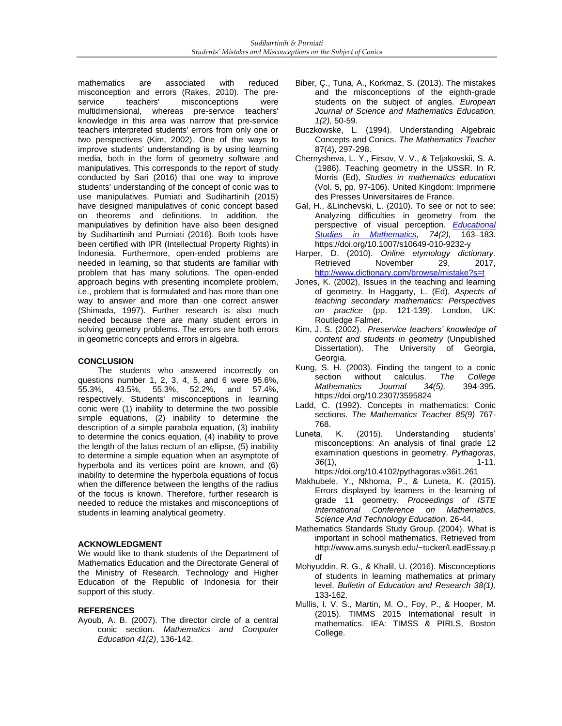mathematics are associated with reduced misconception and errors (Rakes, 2010). The pre-<br>service teachers' misconceptions were service teachers' misconceptions were multidimensional, whereas pre-service teachers' knowledge in this area was narrow that pre-service teachers interpreted students' errors from only one or two perspectives (Kim, 2002). One of the ways to improve students' understanding is by using learning media, both in the form of geometry software and manipulatives. This corresponds to the report of study conducted by Sari (2016) that one way to improve students' understanding of the concept of conic was to use manipulatives. Purniati and Sudihartinih (2015) have designed manipulatives of conic concept based on theorems and definitions. In addition, the manipulatives by definition have also been designed by Sudihartinih and Purniati (2016). Both tools have been certified with IPR (Intellectual Property Rights) in Indonesia. Furthermore, open-ended problems are needed in learning, so that students are familiar with problem that has many solutions. The open-ended approach begins with presenting incomplete problem, i.e., problem that is formulated and has more than one way to answer and more than one correct answer (Shimada, 1997). Further research is also much needed because there are many student errors in solving geometry problems. The errors are both errors in geometric concepts and errors in algebra.

#### **CONCLUSION**

The students who answered incorrectly on questions number 1, 2, 3, 4, 5, and 6 were 95.6%,<br>55.3%, 43.5%, 55.3%, 52.2%, and 57.4%, 55.3%, 43.5%, 55.3%, 52.2%, and 57.4%, respectively. Students' misconceptions in learning conic were (1) inability to determine the two possible simple equations, (2) inability to determine the description of a simple parabola equation, (3) inability to determine the conics equation, (4) inability to prove the length of the latus rectum of an ellipse, (5) inability to determine a simple equation when an asymptote of hyperbola and its vertices point are known, and (6) inability to determine the hyperbola equations of focus when the difference between the lengths of the radius of the focus is known. Therefore, further research is needed to reduce the mistakes and misconceptions of students in learning analytical geometry.

#### **ACKNOWLEDGMENT**

We would like to thank students of the Department of Mathematics Education and the Directorate General of the Ministry of Research, Technology and Higher Education of the Republic of Indonesia for their support of this study.

# **REFERENCES**

Ayoub, A. B. (2007). The director circle of a central conic section. *Mathematics and Computer Education 41(2)*, 136-142.

- Biber, Ç., Tuna, A., Korkmaz, S. (2013). The mistakes and the misconceptions of the eighth-grade students on the subject of angles. *European Journal of Science and Mathematics Education, 1(2),* 50-59.
- Buczkowske, L. (1994). Understanding Algebraic Concepts and Conics. *The Mathematics Teacher*  87(4), 297-298.
- Chernysheva, L. Y., Firsov, V. V., & Teljakovskii, S. A. (1986). Teaching geometry in the USSR. In R. Morris (Ed), *Studies in mathematics education* (Vol. 5, pp. 97-106). United Kingdom: Imprimerie des Presses Universitaires de France.
- Gal, H., &Linchevski, L. (2010). To see or not to see: Analyzing difficulties in geometry from the perspective of visual perception. *[Educational](https://link.springer.com/journal/10649)  [Studies in Mathematics,](https://link.springer.com/journal/10649) 74(2),* 163–183. https://doi.org/10.1007/s10649-010-9232-y
- Harper, D. (2010). *Online etymology dictionary.*  November 29, 2017, <http://www.dictionary.com/browse/mistake?s=t>
- Jones, K. (2002), Issues in the teaching and learning of geometry. In Haggarty, L. (Ed), *Aspects of teaching secondary mathematics: Perspectives on practice* (pp. 121-139). London, UK: Routledge Falmer.
- Kim, J. S. (2002). *Preservice teachers' knowledge of content and students in geometry* (Unpublished Dissertation). The University of Georgia, Georgia.
- Kung, S. H. (2003). Finding the tangent to a conic section without calculus. *The College Mathematics Journal 34(5),* 394-395. https://doi.org/10.2307/3595824
- Ladd, C. (1992). Concepts in mathematics: Conic sections. *The Mathematics Teacher 85(9)* 767- 768.
- Luneta, K. (2015). Understanding students' misconceptions: An analysis of final grade 12 examination questions in geometry. *Pythagoras*, *36*(1), 1-11.

https://doi.org/10.4102/pythagoras.v36i1.261

- Makhubele, Y., Nkhoma, P., & Luneta, K. (2015). Errors displayed by learners in the learning of grade 11 geometry. *Proceedings of ISTE International Conference on Mathematics, Science And Technology Education,* 26-44.
- Mathematics Standards Study Group. (2004). What is important in school mathematics. Retrieved from http://www.ams.sunysb.edu/~tucker/LeadEssay.p df
- Mohyuddin, R. G., & Khalil, U. (2016). Misconceptions of students in learning mathematics at primary level. *Bulletin of Education and Research 38(1),* 133-162.
- Mullis, I. V. S., Martin, M. O., Foy, P., & Hooper, M. (2015). TIMMS 2015 International result in mathematics. IEA: TIMSS & PIRLS, Boston College.